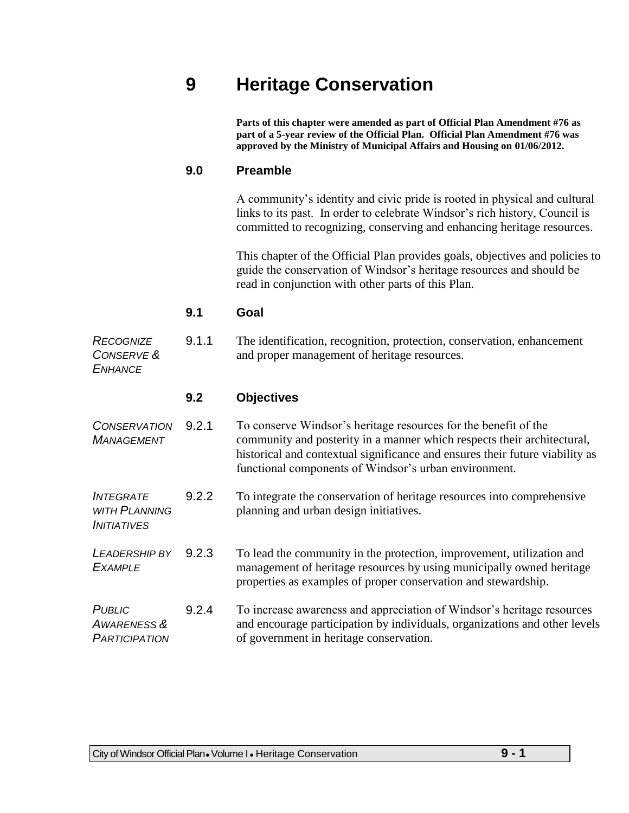# **9 Heritage Conservation**

**Parts of this chapter were amended as part of Official Plan Amendment #76 as part of a 5-year review of the Official Plan. Official Plan Amendment #76 was approved by the Ministry of Municipal Affairs and Housing on 01/06/2012.**

### **9.0 Preamble**

A community's identity and civic pride is rooted in physical and cultural links to its past. In order to celebrate Windsor's rich history, Council is committed to recognizing, conserving and enhancing heritage resources.

This chapter of the Official Plan provides goals, objectives and policies to guide the conservation of Windsor's heritage resources and should be read in conjunction with other parts of this Plan.

### **9.1 Goal**

*RECOGNIZE CONSERVE & ENHANCE* 9.1.1 The identification, recognition, protection, conservation, enhancement and proper management of heritage resources.

### **9.2 Objectives**

*CONSERVATION MANAGEMENT* 9.2.1 To conserve Windsor's heritage resources for the benefit of the community and posterity in a manner which respects their architectural, historical and contextual significance and ensures their future viability as functional components of Windsor's urban environment.

#### *INTEGRATE WITH PLANNING INITIATIVES* 9.2.2 To integrate the conservation of heritage resources into comprehensive planning and urban design initiatives.

*LEADERSHIP BY EXAMPLE* 9.2.3 To lead the community in the protection, improvement, utilization and management of heritage resources by using municipally owned heritage properties as examples of proper conservation and stewardship.

#### *PUBLIC AWARENESS & PARTICIPATION* 9.2.4 To increase awareness and appreciation of Windsor's heritage resources and encourage participation by individuals, organizations and other levels of government in heritage conservation.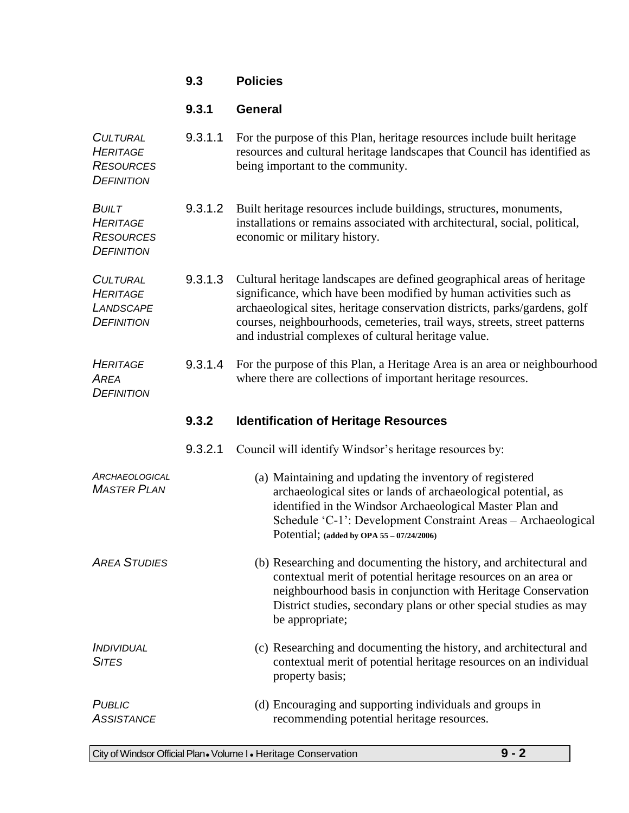|                                                                             | 9.3     | <b>Policies</b>                                                                                                                                                                                                                                                                                                                                                  |  |
|-----------------------------------------------------------------------------|---------|------------------------------------------------------------------------------------------------------------------------------------------------------------------------------------------------------------------------------------------------------------------------------------------------------------------------------------------------------------------|--|
|                                                                             | 9.3.1   | <b>General</b>                                                                                                                                                                                                                                                                                                                                                   |  |
| <b>CULTURAL</b><br><b>HERITAGE</b><br><b>RESOURCES</b><br><b>DEFINITION</b> | 9.3.1.1 | For the purpose of this Plan, heritage resources include built heritage<br>resources and cultural heritage landscapes that Council has identified as<br>being important to the community.                                                                                                                                                                        |  |
| <b>BUILT</b><br><b>HERITAGE</b><br><b>RESOURCES</b><br><b>DEFINITION</b>    | 9.3.1.2 | Built heritage resources include buildings, structures, monuments,<br>installations or remains associated with architectural, social, political,<br>economic or military history.                                                                                                                                                                                |  |
| <b>CULTURAL</b><br><b>HERITAGE</b><br>LANDSCAPE<br><b>DEFINITION</b>        | 9.3.1.3 | Cultural heritage landscapes are defined geographical areas of heritage<br>significance, which have been modified by human activities such as<br>archaeological sites, heritage conservation districts, parks/gardens, golf<br>courses, neighbourhoods, cemeteries, trail ways, streets, street patterns<br>and industrial complexes of cultural heritage value. |  |
| <b>HERITAGE</b><br><b>AREA</b><br><b>DEFINITION</b>                         | 9.3.1.4 | For the purpose of this Plan, a Heritage Area is an area or neighbourhood<br>where there are collections of important heritage resources.                                                                                                                                                                                                                        |  |
|                                                                             | 9.3.2   | <b>Identification of Heritage Resources</b>                                                                                                                                                                                                                                                                                                                      |  |
|                                                                             | 9.3.2.1 | Council will identify Windsor's heritage resources by:                                                                                                                                                                                                                                                                                                           |  |
| ARCHAEOLOGICAL<br><b>MASTER PLAN</b>                                        |         | (a) Maintaining and updating the inventory of registered<br>archaeological sites or lands of archaeological potential, as                                                                                                                                                                                                                                        |  |
|                                                                             |         | identified in the Windsor Archaeological Master Plan and<br>Schedule 'C-1': Development Constraint Areas - Archaeological<br>Potential; (added by OPA $55 - 07/24/2006$ )                                                                                                                                                                                        |  |
| <b>AREA STUDIES</b>                                                         |         | (b) Researching and documenting the history, and architectural and<br>contextual merit of potential heritage resources on an area or<br>neighbourhood basis in conjunction with Heritage Conservation<br>District studies, secondary plans or other special studies as may<br>be appropriate;                                                                    |  |
| <b>INDIVIDUAL</b><br><b>SITES</b>                                           |         | (c) Researching and documenting the history, and architectural and<br>contextual merit of potential heritage resources on an individual<br>property basis;                                                                                                                                                                                                       |  |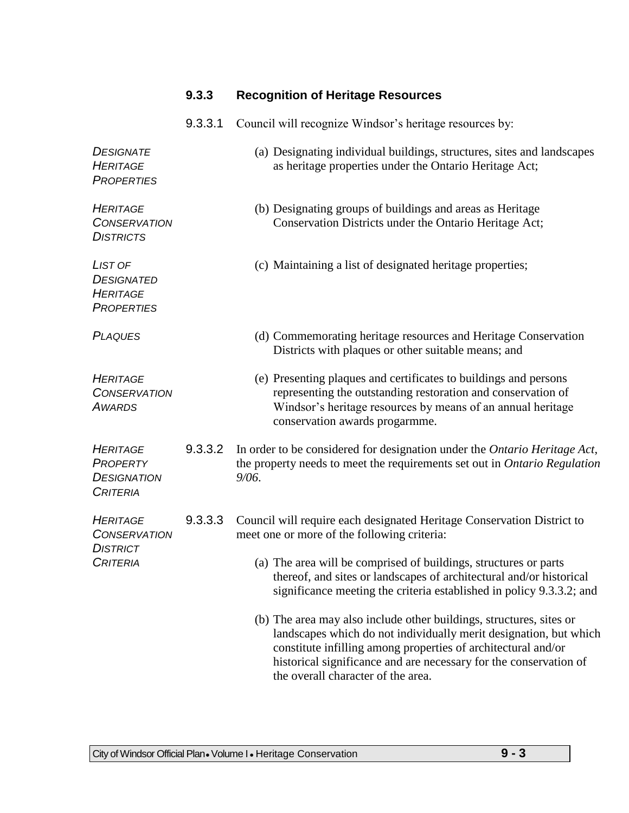## **9.3.3 Recognition of Heritage Resources**

9.3.3.1 Council will recognize Windsor's heritage resources by:

| <b>DESIGNATE</b><br><b>HERITAGE</b><br><b>PROPERTIES</b>                     |         | (a) Designating individual buildings, structures, sites and landscapes<br>as heritage properties under the Ontario Heritage Act;                                                                                                                                                                                     |
|------------------------------------------------------------------------------|---------|----------------------------------------------------------------------------------------------------------------------------------------------------------------------------------------------------------------------------------------------------------------------------------------------------------------------|
| <b>HERITAGE</b><br><b>CONSERVATION</b><br><b>DISTRICTS</b>                   |         | (b) Designating groups of buildings and areas as Heritage<br>Conservation Districts under the Ontario Heritage Act;                                                                                                                                                                                                  |
| LIST OF<br><b>DESIGNATED</b><br><b>HERITAGE</b><br><b>PROPERTIES</b>         |         | (c) Maintaining a list of designated heritage properties;                                                                                                                                                                                                                                                            |
| <b>PLAQUES</b>                                                               |         | (d) Commemorating heritage resources and Heritage Conservation<br>Districts with plaques or other suitable means; and                                                                                                                                                                                                |
| <b>HERITAGE</b><br><b>CONSERVATION</b><br><b>AWARDS</b>                      |         | (e) Presenting plaques and certificates to buildings and persons<br>representing the outstanding restoration and conservation of<br>Windsor's heritage resources by means of an annual heritage<br>conservation awards progarmme.                                                                                    |
| <b>HERITAGE</b><br>PROPERTY<br><b>DESIGNATION</b><br><b>CRITERIA</b>         | 9.3.3.2 | In order to be considered for designation under the Ontario Heritage Act,<br>the property needs to meet the requirements set out in Ontario Regulation<br>9/06.                                                                                                                                                      |
| <b>HERITAGE</b><br><b>CONSERVATION</b><br><b>DISTRICT</b><br><b>CRITERIA</b> | 9.3.3.3 | Council will require each designated Heritage Conservation District to<br>meet one or more of the following criteria:<br>(a) The area will be comprised of buildings, structures or parts                                                                                                                            |
|                                                                              |         | thereof, and sites or landscapes of architectural and/or historical<br>significance meeting the criteria established in policy 9.3.3.2; and                                                                                                                                                                          |
|                                                                              |         | (b) The area may also include other buildings, structures, sites or<br>landscapes which do not individually merit designation, but which<br>constitute infilling among properties of architectural and/or<br>historical significance and are necessary for the conservation of<br>the overall character of the area. |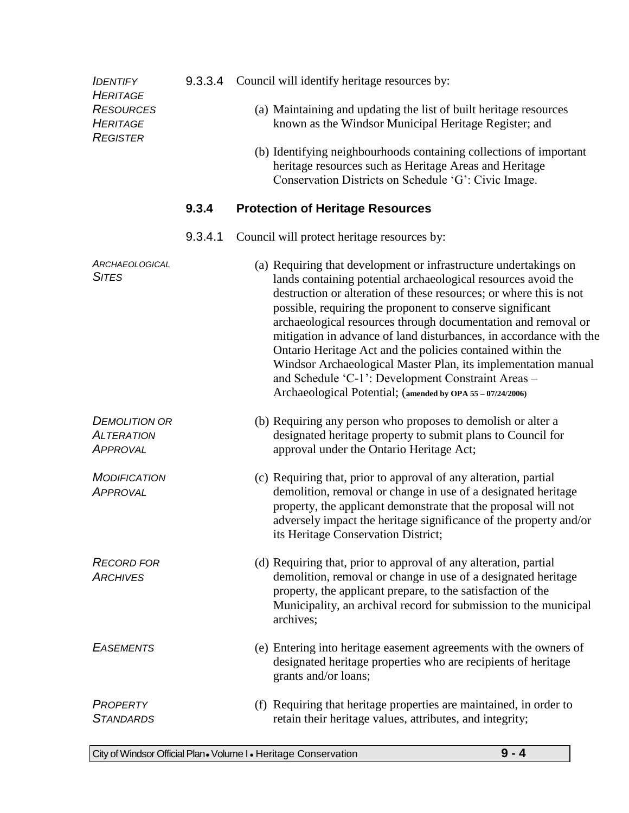| <b>IDENTIFY</b><br><b>HERITAGE</b>                           |         | 9.3.3.4 Council will identify heritage resources by:                                                                                                                                                                                                                                                                                                                                                                                                                                                                                                                                                                                                           |
|--------------------------------------------------------------|---------|----------------------------------------------------------------------------------------------------------------------------------------------------------------------------------------------------------------------------------------------------------------------------------------------------------------------------------------------------------------------------------------------------------------------------------------------------------------------------------------------------------------------------------------------------------------------------------------------------------------------------------------------------------------|
| <b>RESOURCES</b><br><b>HERITAGE</b><br><b>REGISTER</b>       |         | (a) Maintaining and updating the list of built heritage resources<br>known as the Windsor Municipal Heritage Register; and                                                                                                                                                                                                                                                                                                                                                                                                                                                                                                                                     |
|                                                              |         | (b) Identifying neighbourhoods containing collections of important<br>heritage resources such as Heritage Areas and Heritage<br>Conservation Districts on Schedule 'G': Civic Image.                                                                                                                                                                                                                                                                                                                                                                                                                                                                           |
|                                                              | 9.3.4   | <b>Protection of Heritage Resources</b>                                                                                                                                                                                                                                                                                                                                                                                                                                                                                                                                                                                                                        |
|                                                              | 9.3.4.1 | Council will protect heritage resources by:                                                                                                                                                                                                                                                                                                                                                                                                                                                                                                                                                                                                                    |
| <b>ARCHAEOLOGICAL</b><br><b>SITES</b>                        |         | (a) Requiring that development or infrastructure undertakings on<br>lands containing potential archaeological resources avoid the<br>destruction or alteration of these resources; or where this is not<br>possible, requiring the proponent to conserve significant<br>archaeological resources through documentation and removal or<br>mitigation in advance of land disturbances, in accordance with the<br>Ontario Heritage Act and the policies contained within the<br>Windsor Archaeological Master Plan, its implementation manual<br>and Schedule 'C-1': Development Constraint Areas -<br>Archaeological Potential; (amended by OPA 55 - 07/24/2006) |
| <b>DEMOLITION OR</b><br><b>ALTERATION</b><br><b>APPROVAL</b> |         | (b) Requiring any person who proposes to demolish or alter a<br>designated heritage property to submit plans to Council for<br>approval under the Ontario Heritage Act;                                                                                                                                                                                                                                                                                                                                                                                                                                                                                        |
| <b>MODIFICATION</b><br><b>APPROVAL</b>                       |         | (c) Requiring that, prior to approval of any alteration, partial<br>demolition, removal or change in use of a designated heritage<br>property, the applicant demonstrate that the proposal will not<br>adversely impact the heritage significance of the property and/or<br>its Heritage Conservation District;                                                                                                                                                                                                                                                                                                                                                |
| <b>RECORD FOR</b><br><b>ARCHIVES</b>                         |         | (d) Requiring that, prior to approval of any alteration, partial<br>demolition, removal or change in use of a designated heritage<br>property, the applicant prepare, to the satisfaction of the<br>Municipality, an archival record for submission to the municipal<br>archives;                                                                                                                                                                                                                                                                                                                                                                              |
| <b>EASEMENTS</b>                                             |         | (e) Entering into heritage easement agreements with the owners of<br>designated heritage properties who are recipients of heritage<br>grants and/or loans;                                                                                                                                                                                                                                                                                                                                                                                                                                                                                                     |
| <b>PROPERTY</b><br><b>STANDARDS</b>                          |         | (f) Requiring that heritage properties are maintained, in order to<br>retain their heritage values, attributes, and integrity;                                                                                                                                                                                                                                                                                                                                                                                                                                                                                                                                 |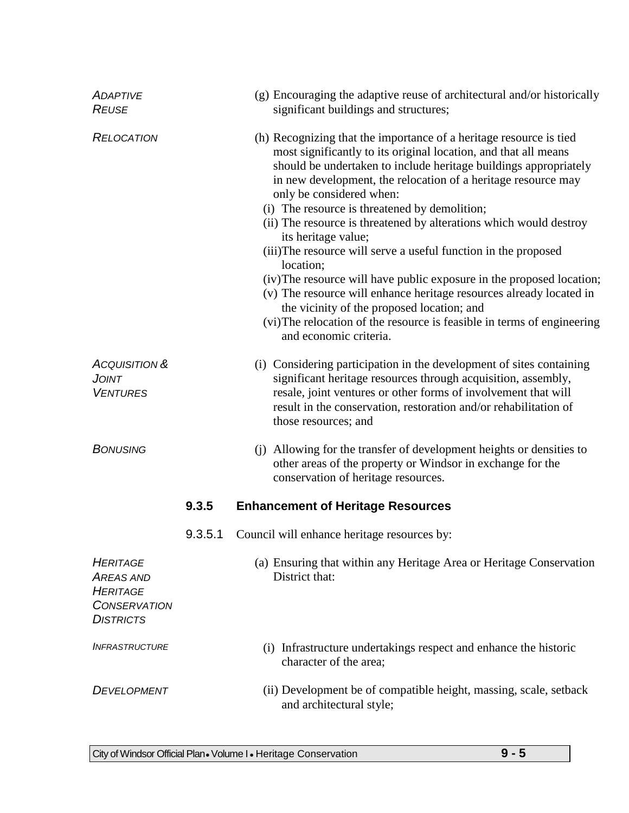| <b>ADAPTIVE</b><br><b>REUSE</b>                                                                   |         | (g) Encouraging the adaptive reuse of architectural and/or historically<br>significant buildings and structures;                                                                                                                                                                                                                                                                                                                                                                                                                                                                                                                                                                                                                                                                                                                        |
|---------------------------------------------------------------------------------------------------|---------|-----------------------------------------------------------------------------------------------------------------------------------------------------------------------------------------------------------------------------------------------------------------------------------------------------------------------------------------------------------------------------------------------------------------------------------------------------------------------------------------------------------------------------------------------------------------------------------------------------------------------------------------------------------------------------------------------------------------------------------------------------------------------------------------------------------------------------------------|
| <b>RELOCATION</b>                                                                                 |         | (h) Recognizing that the importance of a heritage resource is tied<br>most significantly to its original location, and that all means<br>should be undertaken to include heritage buildings appropriately<br>in new development, the relocation of a heritage resource may<br>only be considered when:<br>(i) The resource is threatened by demolition;<br>(ii) The resource is threatened by alterations which would destroy<br>its heritage value;<br>(iii) The resource will serve a useful function in the proposed<br>location;<br>(iv) The resource will have public exposure in the proposed location;<br>(v) The resource will enhance heritage resources already located in<br>the vicinity of the proposed location; and<br>(vi) The relocation of the resource is feasible in terms of engineering<br>and economic criteria. |
| <b>ACQUISITION &amp;</b><br>JOINT<br><b>VENTURES</b>                                              |         | (i) Considering participation in the development of sites containing<br>significant heritage resources through acquisition, assembly,<br>resale, joint ventures or other forms of involvement that will<br>result in the conservation, restoration and/or rehabilitation of<br>those resources; and                                                                                                                                                                                                                                                                                                                                                                                                                                                                                                                                     |
| <b>BONUSING</b>                                                                                   |         | (j) Allowing for the transfer of development heights or densities to<br>other areas of the property or Windsor in exchange for the<br>conservation of heritage resources.                                                                                                                                                                                                                                                                                                                                                                                                                                                                                                                                                                                                                                                               |
|                                                                                                   | 9.3.5   | <b>Enhancement of Heritage Resources</b>                                                                                                                                                                                                                                                                                                                                                                                                                                                                                                                                                                                                                                                                                                                                                                                                |
|                                                                                                   | 9.3.5.1 | Council will enhance heritage resources by:                                                                                                                                                                                                                                                                                                                                                                                                                                                                                                                                                                                                                                                                                                                                                                                             |
| <b>HERITAGE</b><br><b>AREAS AND</b><br><b>HERITAGE</b><br><b>CONSERVATION</b><br><b>DISTRICTS</b> |         | (a) Ensuring that within any Heritage Area or Heritage Conservation<br>District that:                                                                                                                                                                                                                                                                                                                                                                                                                                                                                                                                                                                                                                                                                                                                                   |
| <b>INFRASTRUCTURE</b>                                                                             |         | (i) Infrastructure undertakings respect and enhance the historic<br>character of the area;                                                                                                                                                                                                                                                                                                                                                                                                                                                                                                                                                                                                                                                                                                                                              |
| <b>DEVELOPMENT</b>                                                                                |         | (ii) Development be of compatible height, massing, scale, setback<br>and architectural style;                                                                                                                                                                                                                                                                                                                                                                                                                                                                                                                                                                                                                                                                                                                                           |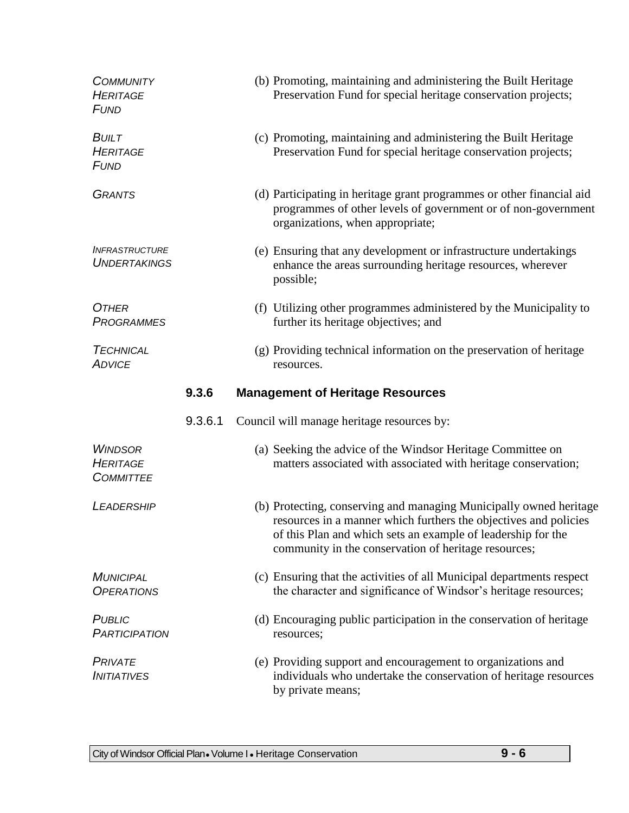| <b>COMMUNITY</b><br><b>HERITAGE</b><br><b>FUND</b>    |         | (b) Promoting, maintaining and administering the Built Heritage<br>Preservation Fund for special heritage conservation projects;                                                                                                                               |  |
|-------------------------------------------------------|---------|----------------------------------------------------------------------------------------------------------------------------------------------------------------------------------------------------------------------------------------------------------------|--|
| <b>BUILT</b><br><b>HERITAGE</b><br><b>FUND</b>        |         | (c) Promoting, maintaining and administering the Built Heritage<br>Preservation Fund for special heritage conservation projects;                                                                                                                               |  |
| <b>GRANTS</b>                                         |         | (d) Participating in heritage grant programmes or other financial aid<br>programmes of other levels of government or of non-government<br>organizations, when appropriate;                                                                                     |  |
| <b>INFRASTRUCTURE</b><br><b>UNDERTAKINGS</b>          |         | (e) Ensuring that any development or infrastructure undertakings<br>enhance the areas surrounding heritage resources, wherever<br>possible;                                                                                                                    |  |
| <b>OTHER</b><br><b>PROGRAMMES</b>                     |         | (f) Utilizing other programmes administered by the Municipality to<br>further its heritage objectives; and                                                                                                                                                     |  |
| <b>TECHNICAL</b><br><b>ADVICE</b>                     |         | (g) Providing technical information on the preservation of heritage<br>resources.                                                                                                                                                                              |  |
|                                                       | 9.3.6   | <b>Management of Heritage Resources</b>                                                                                                                                                                                                                        |  |
|                                                       |         |                                                                                                                                                                                                                                                                |  |
|                                                       | 9.3.6.1 | Council will manage heritage resources by:                                                                                                                                                                                                                     |  |
| <b>WINDSOR</b><br><b>HERITAGE</b><br><b>COMMITTEE</b> |         | (a) Seeking the advice of the Windsor Heritage Committee on<br>matters associated with associated with heritage conservation;                                                                                                                                  |  |
| <b>LEADERSHIP</b>                                     |         | (b) Protecting, conserving and managing Municipally owned heritage<br>resources in a manner which furthers the objectives and policies<br>of this Plan and which sets an example of leadership for the<br>community in the conservation of heritage resources; |  |
| <b>MUNICIPAL</b><br><b>OPERATIONS</b>                 |         | (c) Ensuring that the activities of all Municipal departments respect<br>the character and significance of Windsor's heritage resources;                                                                                                                       |  |
| <b>PUBLIC</b><br><b>PARTICIPATION</b>                 |         | (d) Encouraging public participation in the conservation of heritage<br>resources;                                                                                                                                                                             |  |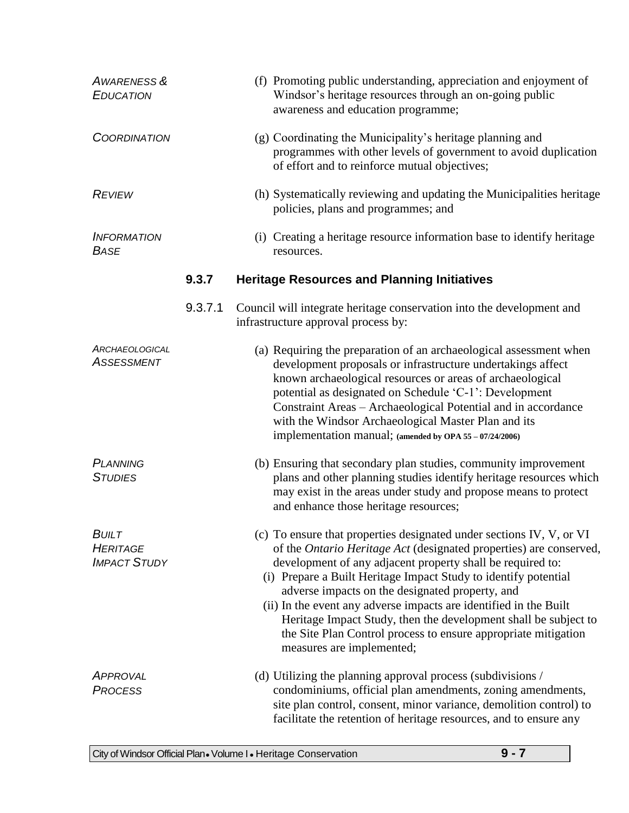| <b>AWARENESS &amp;</b><br><b>EDUCATION</b>             |         | (f) Promoting public understanding, appreciation and enjoyment of<br>Windsor's heritage resources through an on-going public<br>awareness and education programme;                                                                                                                                                                                                                                                                                                                                                                                                           |
|--------------------------------------------------------|---------|------------------------------------------------------------------------------------------------------------------------------------------------------------------------------------------------------------------------------------------------------------------------------------------------------------------------------------------------------------------------------------------------------------------------------------------------------------------------------------------------------------------------------------------------------------------------------|
| <b>COORDINATION</b>                                    |         | (g) Coordinating the Municipality's heritage planning and<br>programmes with other levels of government to avoid duplication<br>of effort and to reinforce mutual objectives;                                                                                                                                                                                                                                                                                                                                                                                                |
| <b>REVIEW</b>                                          |         | (h) Systematically reviewing and updating the Municipalities heritage<br>policies, plans and programmes; and                                                                                                                                                                                                                                                                                                                                                                                                                                                                 |
| <b>INFORMATION</b><br><b>BASE</b>                      |         | (i) Creating a heritage resource information base to identify heritage<br>resources.                                                                                                                                                                                                                                                                                                                                                                                                                                                                                         |
|                                                        | 9.3.7   | <b>Heritage Resources and Planning Initiatives</b>                                                                                                                                                                                                                                                                                                                                                                                                                                                                                                                           |
|                                                        | 9.3.7.1 | Council will integrate heritage conservation into the development and<br>infrastructure approval process by:                                                                                                                                                                                                                                                                                                                                                                                                                                                                 |
| <b>ARCHAEOLOGICAL</b><br><b>ASSESSMENT</b>             |         | (a) Requiring the preparation of an archaeological assessment when<br>development proposals or infrastructure undertakings affect<br>known archaeological resources or areas of archaeological<br>potential as designated on Schedule 'C-1': Development<br>Constraint Areas - Archaeological Potential and in accordance<br>with the Windsor Archaeological Master Plan and its<br>implementation manual; (amended by OPA 55 - 07/24/2006)                                                                                                                                  |
| <b>PLANNING</b><br><b>STUDIES</b>                      |         | (b) Ensuring that secondary plan studies, community improvement<br>plans and other planning studies identify heritage resources which<br>may exist in the areas under study and propose means to protect<br>and enhance those heritage resources;                                                                                                                                                                                                                                                                                                                            |
| <b>BUILT</b><br><b>HERITAGE</b><br><b>IMPACT STUDY</b> |         | (c) To ensure that properties designated under sections IV, V, or VI<br>of the <i>Ontario Heritage Act</i> (designated properties) are conserved,<br>development of any adjacent property shall be required to:<br>(i) Prepare a Built Heritage Impact Study to identify potential<br>adverse impacts on the designated property, and<br>(ii) In the event any adverse impacts are identified in the Built<br>Heritage Impact Study, then the development shall be subject to<br>the Site Plan Control process to ensure appropriate mitigation<br>measures are implemented; |
| APPROVAL<br><b>PROCESS</b>                             |         | (d) Utilizing the planning approval process (subdivisions /<br>condominiums, official plan amendments, zoning amendments,<br>site plan control, consent, minor variance, demolition control) to<br>facilitate the retention of heritage resources, and to ensure any                                                                                                                                                                                                                                                                                                         |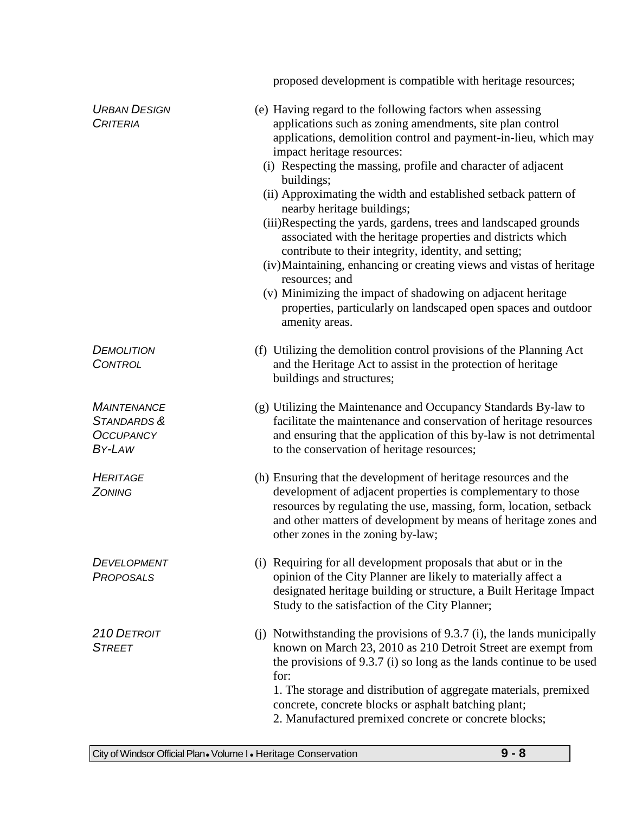|                                                                 | proposed development is compatible with heritage resources;                                                                                                                                                                                                                                                                                                                                                                                                                                                                                                                                                                                                                                                                                                                                                                                      |
|-----------------------------------------------------------------|--------------------------------------------------------------------------------------------------------------------------------------------------------------------------------------------------------------------------------------------------------------------------------------------------------------------------------------------------------------------------------------------------------------------------------------------------------------------------------------------------------------------------------------------------------------------------------------------------------------------------------------------------------------------------------------------------------------------------------------------------------------------------------------------------------------------------------------------------|
| <b>URBAN DESIGN</b><br><b>CRITERIA</b>                          | (e) Having regard to the following factors when assessing<br>applications such as zoning amendments, site plan control<br>applications, demolition control and payment-in-lieu, which may<br>impact heritage resources:<br>(i) Respecting the massing, profile and character of adjacent<br>buildings;<br>(ii) Approximating the width and established setback pattern of<br>nearby heritage buildings;<br>(iii)Respecting the yards, gardens, trees and landscaped grounds<br>associated with the heritage properties and districts which<br>contribute to their integrity, identity, and setting;<br>(iv) Maintaining, enhancing or creating views and vistas of heritage<br>resources; and<br>(v) Minimizing the impact of shadowing on adjacent heritage<br>properties, particularly on landscaped open spaces and outdoor<br>amenity areas. |
| <b>DEMOLITION</b><br><b>CONTROL</b>                             | (f) Utilizing the demolition control provisions of the Planning Act<br>and the Heritage Act to assist in the protection of heritage<br>buildings and structures;                                                                                                                                                                                                                                                                                                                                                                                                                                                                                                                                                                                                                                                                                 |
| <b>MAINTENANCE</b><br>STANDARDS &<br><b>OCCUPANCY</b><br>BY-LAW | (g) Utilizing the Maintenance and Occupancy Standards By-law to<br>facilitate the maintenance and conservation of heritage resources<br>and ensuring that the application of this by-law is not detrimental<br>to the conservation of heritage resources;                                                                                                                                                                                                                                                                                                                                                                                                                                                                                                                                                                                        |
| <b>HERITAGE</b><br><b>ZONING</b>                                | (h) Ensuring that the development of heritage resources and the<br>development of adjacent properties is complementary to those<br>resources by regulating the use, massing, form, location, setback<br>and other matters of development by means of heritage zones and<br>other zones in the zoning by-law;                                                                                                                                                                                                                                                                                                                                                                                                                                                                                                                                     |
| <b>DEVELOPMENT</b><br>PROPOSALS                                 | (i) Requiring for all development proposals that abut or in the<br>opinion of the City Planner are likely to materially affect a<br>designated heritage building or structure, a Built Heritage Impact<br>Study to the satisfaction of the City Planner;                                                                                                                                                                                                                                                                                                                                                                                                                                                                                                                                                                                         |
| 210 DETROIT<br><b>STREET</b>                                    | (j) Notwithstanding the provisions of 9.3.7 (i), the lands municipally<br>known on March 23, 2010 as 210 Detroit Street are exempt from<br>the provisions of $9.3.7$ (i) so long as the lands continue to be used<br>for:<br>1. The storage and distribution of aggregate materials, premixed<br>concrete, concrete blocks or asphalt batching plant;<br>2. Manufactured premixed concrete or concrete blocks;                                                                                                                                                                                                                                                                                                                                                                                                                                   |